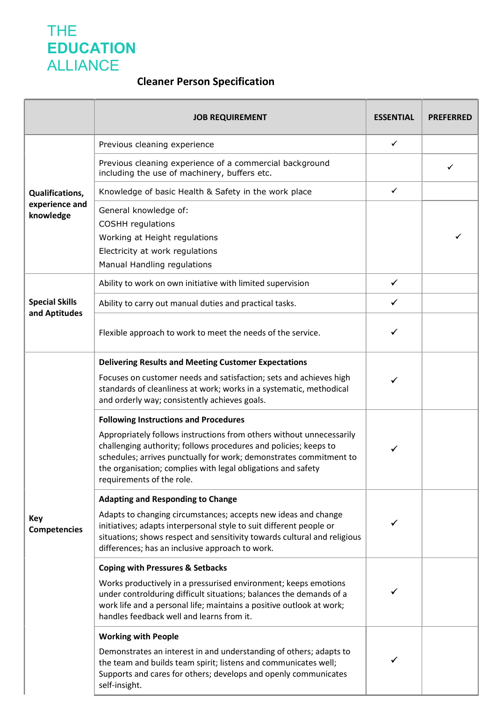## THE **EDUCATION** ALLIANCE

## Cleaner Person Specification

|                                                       | <b>JOB REQUIREMENT</b>                                                                                                                                                                                                                                                                                                                                      | <b>ESSENTIAL</b> | <b>PREFERRED</b> |
|-------------------------------------------------------|-------------------------------------------------------------------------------------------------------------------------------------------------------------------------------------------------------------------------------------------------------------------------------------------------------------------------------------------------------------|------------------|------------------|
| <b>Qualifications,</b><br>experience and<br>knowledge | Previous cleaning experience                                                                                                                                                                                                                                                                                                                                | $\checkmark$     |                  |
|                                                       | Previous cleaning experience of a commercial background<br>including the use of machinery, buffers etc.                                                                                                                                                                                                                                                     |                  |                  |
|                                                       | Knowledge of basic Health & Safety in the work place                                                                                                                                                                                                                                                                                                        | $\checkmark$     |                  |
|                                                       | General knowledge of:<br><b>COSHH</b> regulations<br>Working at Height regulations<br>Electricity at work regulations<br>Manual Handling regulations                                                                                                                                                                                                        |                  |                  |
| <b>Special Skills</b><br>and Aptitudes                | Ability to work on own initiative with limited supervision                                                                                                                                                                                                                                                                                                  | $\checkmark$     |                  |
|                                                       | Ability to carry out manual duties and practical tasks.                                                                                                                                                                                                                                                                                                     | ✓                |                  |
|                                                       | Flexible approach to work to meet the needs of the service.                                                                                                                                                                                                                                                                                                 | ✓                |                  |
| <b>Key</b><br><b>Competencies</b>                     | <b>Delivering Results and Meeting Customer Expectations</b>                                                                                                                                                                                                                                                                                                 |                  |                  |
|                                                       | Focuses on customer needs and satisfaction; sets and achieves high<br>standards of cleanliness at work; works in a systematic, methodical<br>and orderly way; consistently achieves goals.                                                                                                                                                                  | ✔                |                  |
|                                                       | <b>Following Instructions and Procedures</b><br>Appropriately follows instructions from others without unnecessarily<br>challenging authority; follows procedures and policies; keeps to<br>schedules; arrives punctually for work; demonstrates commitment to<br>the organisation; complies with legal obligations and safety<br>requirements of the role. | ✓                |                  |
|                                                       | <b>Adapting and Responding to Change</b><br>Adapts to changing circumstances; accepts new ideas and change<br>initiatives; adapts interpersonal style to suit different people or<br>situations; shows respect and sensitivity towards cultural and religious<br>differences; has an inclusive approach to work.                                            |                  |                  |
|                                                       | <b>Coping with Pressures &amp; Setbacks</b>                                                                                                                                                                                                                                                                                                                 |                  |                  |
|                                                       | Works productively in a pressurised environment; keeps emotions<br>under controlduring difficult situations; balances the demands of a<br>work life and a personal life; maintains a positive outlook at work;<br>handles feedback well and learns from it.                                                                                                 |                  |                  |
|                                                       | <b>Working with People</b>                                                                                                                                                                                                                                                                                                                                  |                  |                  |
|                                                       | Demonstrates an interest in and understanding of others; adapts to<br>the team and builds team spirit; listens and communicates well;<br>Supports and cares for others; develops and openly communicates<br>self-insight.                                                                                                                                   |                  |                  |